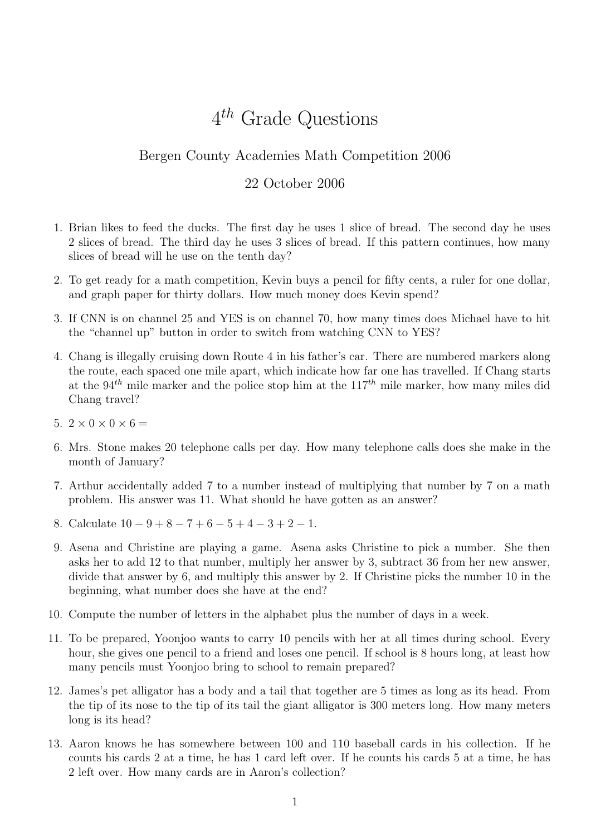## $4^{th}$  Grade Questions

## Bergen County Academies Math Competition 2006

## 22 October 2006

- 1. Brian likes to feed the ducks. The first day he uses 1 slice of bread. The second day he uses 2 slices of bread. The third day he uses 3 slices of bread. If this pattern continues, how many slices of bread will he use on the tenth day?
- 2. To get ready for a math competition, Kevin buys a pencil for fifty cents, a ruler for one dollar, and graph paper for thirty dollars. How much money does Kevin spend?
- 3. If CNN is on channel 25 and YES is on channel 70, how many times does Michael have to hit the "channel up" button in order to switch from watching CNN to YES?
- 4. Chang is illegally cruising down Route 4 in his father's car. There are numbered markers along the route, each spaced one mile apart, which indicate how far one has travelled. If Chang starts at the  $94<sup>th</sup>$  mile marker and the police stop him at the  $117<sup>th</sup>$  mile marker, how many miles did Chang travel?
- 5.  $2 \times 0 \times 0 \times 6 =$
- 6. Mrs. Stone makes 20 telephone calls per day. How many telephone calls does she make in the month of January?
- 7. Arthur accidentally added 7 to a number instead of multiplying that number by 7 on a math problem. His answer was 11. What should he have gotten as an answer?
- 8. Calculate  $10 9 + 8 7 + 6 5 + 4 3 + 2 1$ .
- 9. Asena and Christine are playing a game. Asena asks Christine to pick a number. She then asks her to add 12 to that number, multiply her answer by 3, subtract 36 from her new answer, divide that answer by 6, and multiply this answer by 2. If Christine picks the number 10 in the beginning, what number does she have at the end?
- 10. Compute the number of letters in the alphabet plus the number of days in a week.
- 11. To be prepared, Yoonjoo wants to carry 10 pencils with her at all times during school. Every hour, she gives one pencil to a friend and loses one pencil. If school is 8 hours long, at least how many pencils must Yoonjoo bring to school to remain prepared?
- 12. James's pet alligator has a body and a tail that together are 5 times as long as its head. From the tip of its nose to the tip of its tail the giant alligator is 300 meters long. How many meters long is its head?
- 13. Aaron knows he has somewhere between 100 and 110 baseball cards in his collection. If he counts his cards 2 at a time, he has 1 card left over. If he counts his cards 5 at a time, he has 2 left over. How many cards are in Aaron's collection?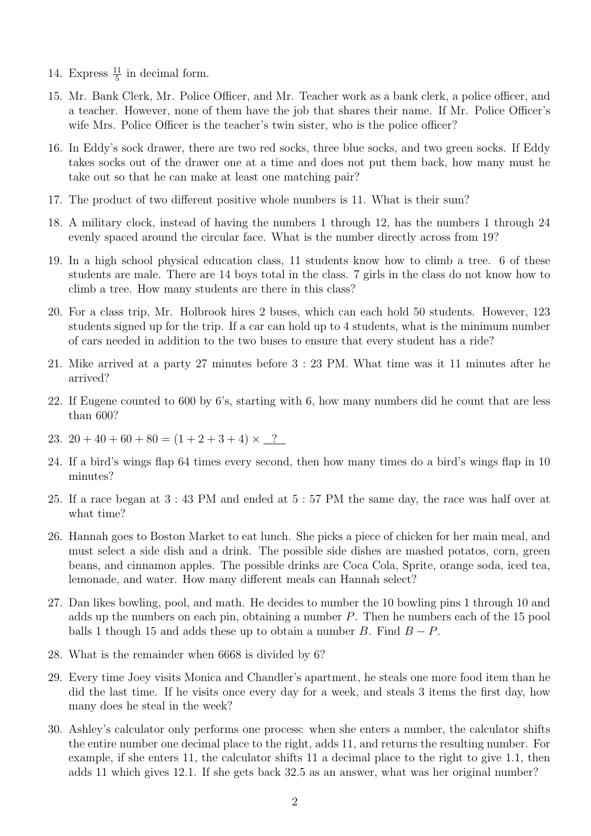- 14. Express  $\frac{11}{5}$  in decimal form.
- 15. Mr. Bank Clerk, Mr. Police Officer, and Mr. Teacher work as a bank clerk, a police officer, and a teacher. However, none of them have the job that shares their name. If Mr. Police Officer's wife Mrs. Police Officer is the teacher's twin sister, who is the police officer?
- 16. In Eddy's sock drawer, there are two red socks, three blue socks, and two green socks. If Eddy takes socks out of the drawer one at a time and does not put them back, how many must he take out so that he can make at least one matching pair?
- 17. The product of two different positive whole numbers is 11. What is their sum?
- 18. A military clock, instead of having the numbers 1 through 12, has the numbers 1 through 24 evenly spaced around the circular face. What is the number directly across from 19?
- 19. In a high school physical education class, 11 students know how to climb a tree. 6 of these students are male. There are 14 boys total in the class. 7 girls in the class do not know how to climb a tree. How many students are there in this class?
- 20. For a class trip, Mr. Holbrook hires 2 buses, which can each hold 50 students. However, 123 students signed up for the trip. If a car can hold up to 4 students, what is the minimum number of cars needed in addition to the two buses to ensure that every student has a ride?
- 21. Mike arrived at a party 27 minutes before 3 : 23 PM. What time was it 11 minutes after he arrived?
- 22. If Eugene counted to 600 by 6's, starting with 6, how many numbers did he count that are less than 600?
- 23.  $20 + 40 + 60 + 80 = (1 + 2 + 3 + 4) \times 2$
- 24. If a bird's wings flap 64 times every second, then how many times do a bird's wings flap in 10 minutes?
- 25. If a race began at 3 : 43 PM and ended at 5 : 57 PM the same day, the race was half over at what time?
- 26. Hannah goes to Boston Market to eat lunch. She picks a piece of chicken for her main meal, and must select a side dish and a drink. The possible side dishes are mashed potatos, corn, green beans, and cinnamon apples. The possible drinks are Coca Cola, Sprite, orange soda, iced tea, lemonade, and water. How many different meals can Hannah select?
- 27. Dan likes bowling, pool, and math. He decides to number the 10 bowling pins 1 through 10 and adds up the numbers on each pin, obtaining a number  $P$ . Then he numbers each of the 15 pool balls 1 though 15 and adds these up to obtain a number B. Find  $B - P$ .
- 28. What is the remainder when 6668 is divided by 6?
- 29. Every time Joey visits Monica and Chandler's apartment, he steals one more food item than he did the last time. If he visits once every day for a week, and steals 3 items the first day, how many does he steal in the week?
- 30. Ashley's calculator only performs one process: when she enters a number, the calculator shifts the entire number one decimal place to the right, adds 11, and returns the resulting number. For example, if she enters 11, the calculator shifts 11 a decimal place to the right to give 1.1, then adds 11 which gives 12.1. If she gets back 32.5 as an answer, what was her original number?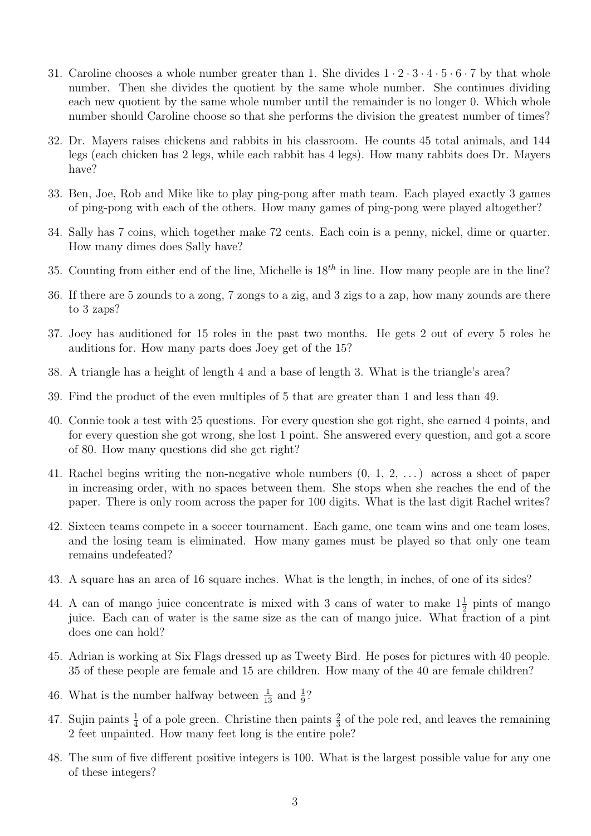- 31. Caroline chooses a whole number greater than 1. She divides  $1 \cdot 2 \cdot 3 \cdot 4 \cdot 5 \cdot 6 \cdot 7$  by that whole number. Then she divides the quotient by the same whole number. She continues dividing each new quotient by the same whole number until the remainder is no longer 0. Which whole number should Caroline choose so that she performs the division the greatest number of times?
- 32. Dr. Mayers raises chickens and rabbits in his classroom. He counts 45 total animals, and 144 legs (each chicken has 2 legs, while each rabbit has 4 legs). How many rabbits does Dr. Mayers have?
- 33. Ben, Joe, Rob and Mike like to play ping-pong after math team. Each played exactly 3 games of ping-pong with each of the others. How many games of ping-pong were played altogether?
- 34. Sally has 7 coins, which together make 72 cents. Each coin is a penny, nickel, dime or quarter. How many dimes does Sally have?
- 35. Counting from either end of the line, Michelle is  $18^{th}$  in line. How many people are in the line?
- 36. If there are 5 zounds to a zong, 7 zongs to a zig, and 3 zigs to a zap, how many zounds are there to 3 zaps?
- 37. Joey has auditioned for 15 roles in the past two months. He gets 2 out of every 5 roles he auditions for. How many parts does Joey get of the 15?
- 38. A triangle has a height of length 4 and a base of length 3. What is the triangle's area?
- 39. Find the product of the even multiples of 5 that are greater than 1 and less than 49.
- 40. Connie took a test with 25 questions. For every question she got right, she earned 4 points, and for every question she got wrong, she lost 1 point. She answered every question, and got a score of 80. How many questions did she get right?
- 41. Rachel begins writing the non-negative whole numbers (0, 1, 2, . . . ) across a sheet of paper in increasing order, with no spaces between them. She stops when she reaches the end of the paper. There is only room across the paper for 100 digits. What is the last digit Rachel writes?
- 42. Sixteen teams compete in a soccer tournament. Each game, one team wins and one team loses, and the losing team is eliminated. How many games must be played so that only one team remains undefeated?
- 43. A square has an area of 16 square inches. What is the length, in inches, of one of its sides?
- 44. A can of mango juice concentrate is mixed with 3 cans of water to make  $1\frac{1}{2}$  pints of mango juice. Each can of water is the same size as the can of mango juice. What fraction of a pint does one can hold?
- 45. Adrian is working at Six Flags dressed up as Tweety Bird. He poses for pictures with 40 people. 35 of these people are female and 15 are children. How many of the 40 are female children?
- 46. What is the number halfway between  $\frac{1}{13}$  and  $\frac{1}{9}$ ?
- 47. Sujin paints  $\frac{1}{4}$  of a pole green. Christine then paints  $\frac{2}{3}$  of the pole red, and leaves the remaining 2 feet unpainted. How many feet long is the entire pole?
- 48. The sum of five different positive integers is 100. What is the largest possible value for any one of these integers?